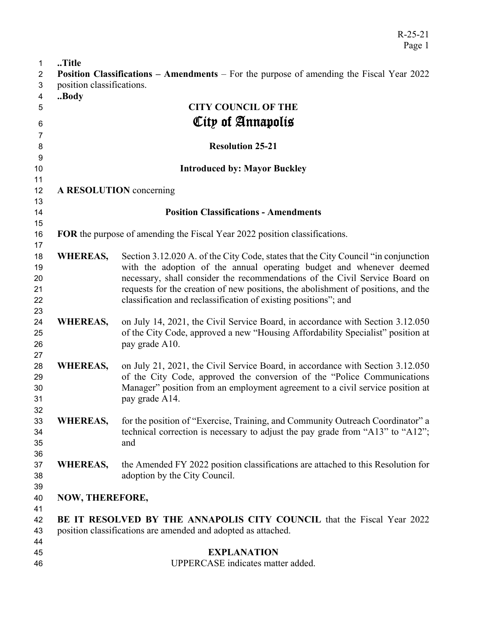| $\mathbf{1}$   | Title                                                                  |                                                                                                 |
|----------------|------------------------------------------------------------------------|-------------------------------------------------------------------------------------------------|
| $\overline{c}$ |                                                                        | <b>Position Classifications – Amendments – For the purpose of amending the Fiscal Year 2022</b> |
| 3              | position classifications.                                              |                                                                                                 |
| 4              | Body                                                                   |                                                                                                 |
| 5              |                                                                        | <b>CITY COUNCIL OF THE</b>                                                                      |
|                |                                                                        | City of Annapolis                                                                               |
| 6              |                                                                        |                                                                                                 |
| $\overline{7}$ |                                                                        |                                                                                                 |
| 8              |                                                                        | <b>Resolution 25-21</b>                                                                         |
| 9              |                                                                        |                                                                                                 |
| 10             |                                                                        | <b>Introduced by: Mayor Buckley</b>                                                             |
| 11             |                                                                        |                                                                                                 |
| 12             |                                                                        | A RESOLUTION concerning                                                                         |
| 13             |                                                                        |                                                                                                 |
| 14             |                                                                        | <b>Position Classifications - Amendments</b>                                                    |
| 15             |                                                                        |                                                                                                 |
| 16             |                                                                        | FOR the purpose of amending the Fiscal Year 2022 position classifications.                      |
| 17             |                                                                        |                                                                                                 |
| 18             | <b>WHEREAS,</b>                                                        | Section 3.12.020 A. of the City Code, states that the City Council "in conjunction"             |
| 19             |                                                                        | with the adoption of the annual operating budget and whenever deemed                            |
| 20             |                                                                        | necessary, shall consider the recommendations of the Civil Service Board on                     |
| 21             |                                                                        | requests for the creation of new positions, the abolishment of positions, and the               |
| 22             |                                                                        | classification and reclassification of existing positions"; and                                 |
| 23             |                                                                        |                                                                                                 |
| 24             | <b>WHEREAS,</b>                                                        | on July 14, 2021, the Civil Service Board, in accordance with Section 3.12.050                  |
| 25             |                                                                        | of the City Code, approved a new "Housing Affordability Specialist" position at                 |
| 26             |                                                                        | pay grade A10.                                                                                  |
| 27             |                                                                        |                                                                                                 |
| 28             | <b>WHEREAS,</b>                                                        | on July 21, 2021, the Civil Service Board, in accordance with Section 3.12.050                  |
| 29             |                                                                        | of the City Code, approved the conversion of the "Police Communications"                        |
| 30             |                                                                        | Manager" position from an employment agreement to a civil service position at                   |
| 31             |                                                                        | pay grade A14.                                                                                  |
| 32             |                                                                        | for the position of "Exercise, Training, and Community Outreach Coordinator" a                  |
| 33             | <b>WHEREAS,</b>                                                        |                                                                                                 |
| 34             |                                                                        | technical correction is necessary to adjust the pay grade from "A13" to "A12";                  |
| 35             |                                                                        | and                                                                                             |
| 36             |                                                                        | the Amended FY 2022 position classifications are attached to this Resolution for                |
| 37             | <b>WHEREAS,</b>                                                        |                                                                                                 |
| 38             |                                                                        | adoption by the City Council.                                                                   |
| 39             |                                                                        |                                                                                                 |
| 40             | <b>NOW, THEREFORE,</b>                                                 |                                                                                                 |
| 41             |                                                                        |                                                                                                 |
| 42             | BE IT RESOLVED BY THE ANNAPOLIS CITY COUNCIL that the Fiscal Year 2022 |                                                                                                 |
| 43             | position classifications are amended and adopted as attached.          |                                                                                                 |
| 44             |                                                                        | <b>EXPLANATION</b>                                                                              |
| 45<br>46       | UPPERCASE indicates matter added.                                      |                                                                                                 |
|                |                                                                        |                                                                                                 |